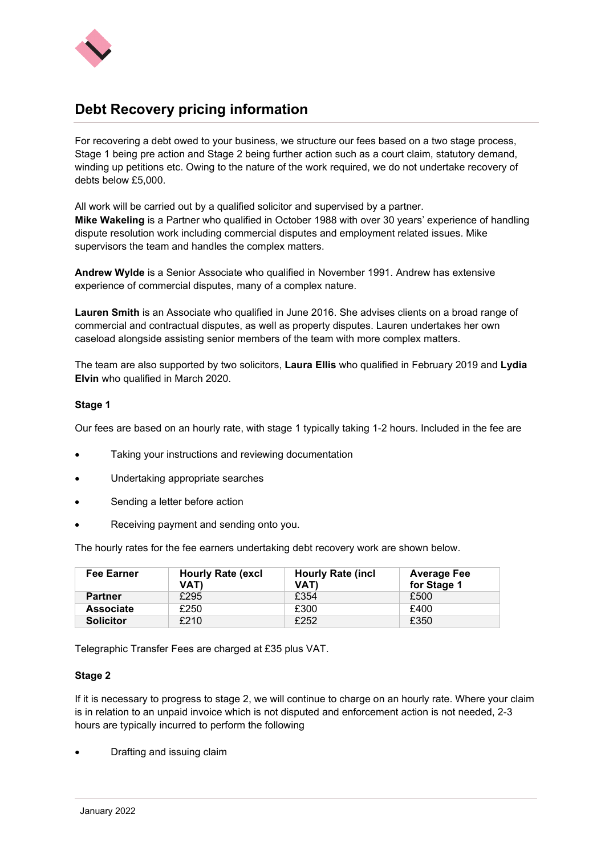

## **Debt Recovery pricing information**

For recovering a debt owed to your business, we structure our fees based on a two stage process, Stage 1 being pre action and Stage 2 being further action such as a court claim, statutory demand, winding up petitions etc. Owing to the nature of the work required, we do not undertake recovery of debts below £5,000.

All work will be carried out by a qualified solicitor and supervised by a partner. **Mike Wakeling** is a Partner who qualified in October 1988 with over 30 years' experience of handling dispute resolution work including commercial disputes and employment related issues. Mike supervisors the team and handles the complex matters.

**Andrew Wylde** is a Senior Associate who qualified in November 1991. Andrew has extensive experience of commercial disputes, many of a complex nature.

**Lauren Smith** is an Associate who qualified in June 2016. She advises clients on a broad range of commercial and contractual disputes, as well as property disputes. Lauren undertakes her own caseload alongside assisting senior members of the team with more complex matters.

The team are also supported by two solicitors, **Laura Ellis** who qualified in February 2019 and **Lydia Elvin** who qualified in March 2020.

## **Stage 1**

Our fees are based on an hourly rate, with stage 1 typically taking 1-2 hours. Included in the fee are

- Taking your instructions and reviewing documentation
- Undertaking appropriate searches
- Sending a letter before action
- Receiving payment and sending onto you.

The hourly rates for the fee earners undertaking debt recovery work are shown below.

| <b>Fee Earner</b> | <b>Hourly Rate (excl</b><br>VAT) | <b>Hourly Rate (incl</b><br>VAT) | <b>Average Fee</b><br>for Stage 1 |
|-------------------|----------------------------------|----------------------------------|-----------------------------------|
| <b>Partner</b>    | £295                             | £354                             | £500                              |
| <b>Associate</b>  | £250                             | £300                             | £400                              |
| <b>Solicitor</b>  | £210                             | £252                             | £350                              |

Telegraphic Transfer Fees are charged at £35 plus VAT.

## **Stage 2**

If it is necessary to progress to stage 2, we will continue to charge on an hourly rate. Where your claim is in relation to an unpaid invoice which is not disputed and enforcement action is not needed, 2-3 hours are typically incurred to perform the following

• Drafting and issuing claim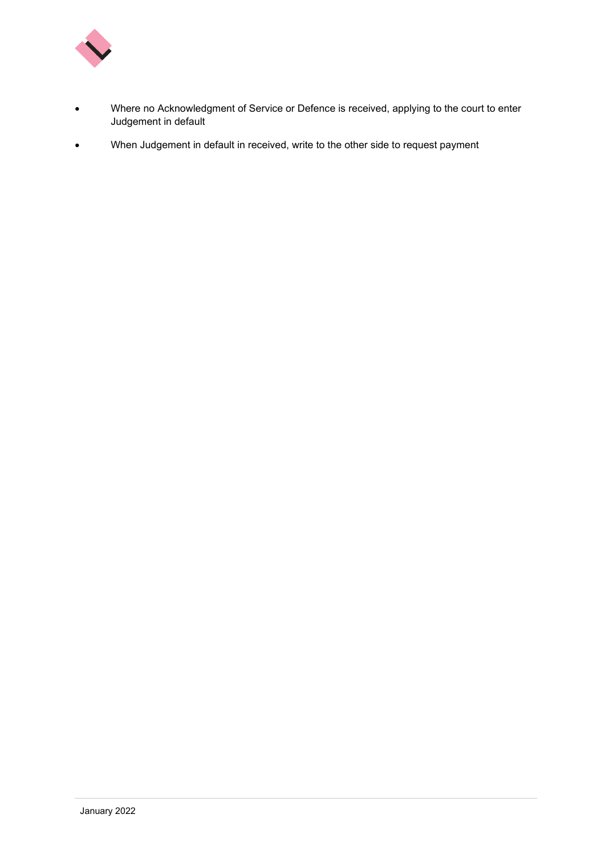

- Where no Acknowledgment of Service or Defence is received, applying to the court to enter Judgement in default
- When Judgement in default in received, write to the other side to request payment